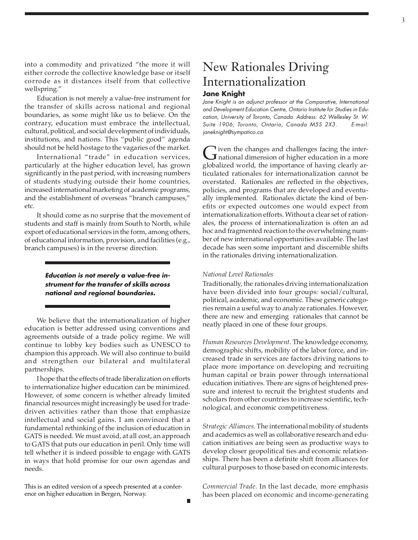into a commodity and privatized "the more it will either corrode the collective knowledge base or itself corrode as it distances itself from that collective wellspring."

Education is not merely a value-free instrument for the transfer of skills across national and regional boundaries, as some might like us to believe. On the contrary, education must embrace the intellectual, cultural, political, and social development of individuals, institutions, and nations. This "public good" agenda should not be held hostage to the vagaries of the market.

International "trade" in education services, particularly at the higher education level, has grown significantly in the past period, with increasing numbers of students studying outside their home countries, increased international marketing of academic programs, and the establishment of overseas "branch campuses," etc.

It should come as no surprise that the movement of students and staff is mainly from South to North, while export of educational services in the form, among others, of educational information, provision, and facilities (e.g., branch campuses) is in the reverse direction.

> **Education is not merely a value-free instrument for the transfer of skills across national and regional boundaries.**

We believe that the internationalization of higher education is better addressed using conventions and agreements outside of a trade policy regime. We will continue to lobby key bodies such as UNESCO to champion this approach. We will also continue to build and strengthen our bilateral and multilateral partnerships.

I hope that the effects of trade liberalization on efforts to internationalize higher education can be minimized. However, of some concern is whether already limited financial resources might increasingly be used for tradedriven activities rather than those that emphasize intellectual and social gains. I am convinced that a fundamental rethinking of the inclusion of education in GATS is needed. We must avoid, at all cost, an approach to GATS that puts our education in peril. Only time will tell whether it is indeed possible to engage with GATS in ways that hold promise for our own agendas and needs.

This is an edited version of a speech presented at a conference on higher education in Bergen, Norway.

# New Rationales Driving Internationalization **Jane Knight**

Jane Knight is an adjunct professor at the Comparative, International and Development Education Centre, Ontario Institute for Studies in Education, University of Toronto, Canada. Address: 62 Wellesley St. W. Suite 1906, Toronto, Ontario, Canada M5S 2X3. E-mail: janeknight@sympatico.ca.

Given the changes and challenges facing the inter-<br>national dimension of higher education in a more<br>classified would the importance of hereing closely on globalized world, the importance of having clearly articulated rationales for internationalization cannot be overstated. Rationales are reflected in the objectives, policies, and programs that are developed and eventually implemented. Rationales dictate the kind of benefits or expected outcomes one would expect from internationalization efforts. Without a clear set of rationales, the process of internationalization is often an ad hoc and fragmented reaction to the overwhelming number of new international opportunities available. The last decade has seen some important and discernible shifts in the rationales driving internationalization.

### *National Level Rationales*

Traditionally, the rationales driving internationalization have been divided into four groups: social/cultural, political, academic, and economic. These generic categories remain a useful way to analyze rationales. However, there are new and emerging rationales that cannot be neatly placed in one of these four groups.

*Human Resources Development.* The knowledge economy, demographic shifts, mobility of the labor force, and increased trade in services are factors driving nations to place more importance on developing and recruiting human capital or brain power through international education initiatives. There are signs of heightened pressure and interest to recruit the brightest students and scholars from other countries to increase scientific, technological, and economic competitiveness.

*Strategic Alliances.* The international mobility of students and academics as well as collaborative research and education initiatives are being seen as productive ways to develop closer geopolitical ties and economic relationships. There has been a definite shift from alliances for cultural purposes to those based on economic interests.

*Commercial Trade.* In the last decade, more emphasis has been placed on economic and income-generating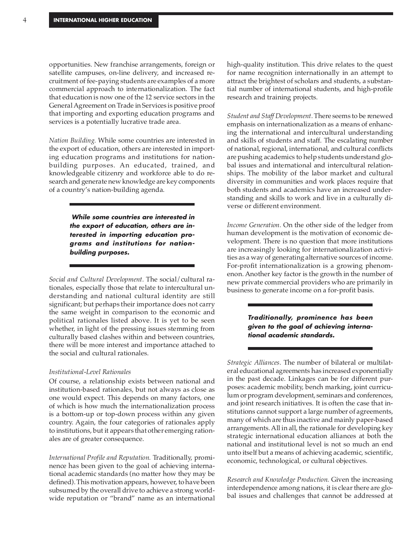opportunities. New franchise arrangements, foreign or satellite campuses, on-line delivery, and increased recruitment of fee-paying students are examples of a more commercial approach to internationalization. The fact that education is now one of the 12 service sectors in the General Agreement on Trade in Services is positive proof that importing and exporting education programs and services is a potentially lucrative trade area.

*Nation Building.* While some countries are interested in the export of education, others are interested in importing education programs and institutions for nationbuilding purposes. An educated, trained, and knowledgeable citizenry and workforce able to do research and generate new knowledge are key components of a country's nation-building agenda.

> **While some countries are interested in the export of education, others are interested in importing education programs and institutions for nationbuilding purposes.**

*Social and Cultural Development.* The social/cultural rationales, especially those that relate to intercultural understanding and national cultural identity are still significant; but perhaps their importance does not carry the same weight in comparison to the economic and political rationales listed above. It is yet to be seen whether, in light of the pressing issues stemming from culturally based clashes within and between countries, there will be more interest and importance attached to the social and cultural rationales.

## *Institutional-Level Rationales*

Of course, a relationship exists between national and institution-based rationales, but not always as close as one would expect. This depends on many factors, one of which is how much the internationalization process is a bottom-up or top-down process within any given country. Again, the four categories of rationales apply to institutions, but it appears that other emerging rationales are of greater consequence.

*International Profile and Reputation.* Traditionally, prominence has been given to the goal of achieving international academic standards (no matter how they may be defined). This motivation appears, however, to have been subsumed by the overall drive to achieve a strong worldwide reputation or "brand" name as an international high-quality institution. This drive relates to the quest for name recognition internationally in an attempt to attract the brightest of scholars and students, a substantial number of international students, and high-profile research and training projects.

*Student and Staff Development.* There seems to be renewed emphasis on internationalization as a means of enhancing the international and intercultural understanding and skills of students and staff. The escalating number of national, regional, international, and cultural conflicts are pushing academics to help students understand global issues and international and intercultural relationships. The mobility of the labor market and cultural diversity in communities and work places require that both students and academics have an increased understanding and skills to work and live in a culturally diverse or different environment.

*Income Generation.* On the other side of the ledger from human development is the motivation of economic development. There is no question that more institutions are increasingly looking for internationalization activities as a way of generating alternative sources of income. For-profit internationalization is a growing phenomenon. Another key factor is the growth in the number of new private commercial providers who are primarily in business to generate income on a for-profit basis.

> **Traditionally, prominence has been given to the goal of achieving international academic standards.**

*Strategic Alliances.* The number of bilateral or multilateral educational agreements has increased exponentially in the past decade. Linkages can be for different purposes: academic mobility, bench marking, joint curriculum or program development, seminars and conferences, and joint research initiatives. It is often the case that institutions cannot support a large number of agreements, many of which are thus inactive and mainly paper-based arrangements. All in all, the rationale for developing key strategic international education alliances at both the national and institutional level is not so much an end unto itself but a means of achieving academic, scientific, economic, technological, or cultural objectives.

*Research and Knowledge Production.* Given the increasing interdependence among nations, it is clear there are global issues and challenges that cannot be addressed at